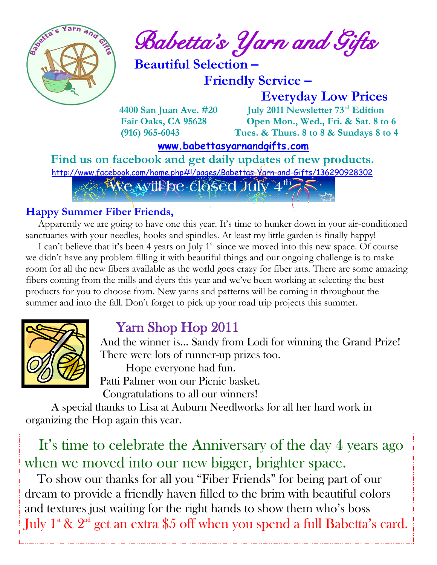

 $\int_{a}^{\frac{1}{2}} \mathbb{E} \left\{ \int_{a}^{a} d\theta \right\} d\theta$  Babetta's Yarn and Gifts

 **Beautiful Selection –**

 **Friendly Service –**

 **Everyday Low Prices**

 **4400 San Juan Ave. #20 July 2011 Newsletter 73 rd Edition Fair Oaks, CA 95628 Open Mon., Wed., Fri. & Sat. 8 to 6 (916) 965-6043 Tues. & Thurs. 8 to 8 & Sundays 8 to 4** 

 **[www.babettasyarnandgifts.com](http://www.babettasyarnandgifts.com/)**

 **Find us on facebook and get daily updates of new products.**  <http://www.facebook.com/home.php#!/pages/Babettas-Yarn-and-Gifts/136290928302> **We will be closed July 4<sup>th</sup>** 

### **Happy Summer Fiber Friends,**

 Apparently we are going to have one this year. It's time to hunker down in your air-conditioned sanctuaries with your needles, hooks and spindles. At least my little garden is finally happy!

I can't believe that it's been 4 years on July  $1<sup>st</sup>$  since we moved into this new space. Of course we didn't have any problem filling it with beautiful things and our ongoing challenge is to make room for all the new fibers available as the world goes crazy for fiber arts. There are some amazing fibers coming from the mills and dyers this year and we've been working at selecting the best products for you to choose from. New yarns and patterns will be coming in throughout the summer and into the fall. Don't forget to pick up your road trip projects this summer.



# Yarn Shop Hop 2011

 And the winner is… Sandy from Lodi for winning the Grand Prize! There were lots of runner-up prizes too.

Hope everyone had fun.

Patti Palmer won our Picnic basket.

Congratulations to all our winners!

 A special thanks to Lisa at Auburn Needlworks for all her hard work in organizing the Hop again this year.

 when we moved into our new bigger, brighter space. It's time to celebrate the Anniversary of the day 4 years ago

 and textures just waiting for the right hands to show them who's boss To show our thanks for all you "Fiber Friends" for being part of our dream to provide a friendly haven filled to the brim with beautiful colors July  $1^{\text{st}}$  &  $2^{\text{nd}}$  get an extra \$5 off when you spend a full Babetta's card.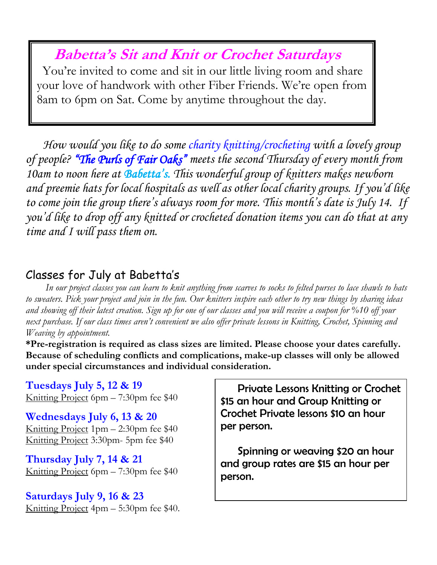# **Babetta's Sit and Knit or Crochet Saturdays**

 You're invited to come and sit in our little living room and share your love of handwork with other Fiber Friends. We're open from 8am to 6pm on Sat. Come by anytime throughout the day.

 *How would you like to do some charity knitting/crocheting with a lovely group of people? "The Purls of Fair Oaks" meets the second Thursday of every month from 10am to noon here at Babetta's. This wonderful group of knitters makes newborn and preemie hats for local hospitals as well as other local charity groups. If you'd like to come join the group there's always room for more. This month's date is July 14. If you'd like to drop off any knitted or crocheted donation items you can do that at any time and I will pass them on.*

## Classes for July at Babetta's

 *In our project classes you can learn to knit anything from scarves to socks to felted purses to lace shawls to hats to sweaters. Pick your project and join in the fun. Our knitters inspire each other to try new things by sharing ideas and showing off their latest creation. Sign up for one of our classes and you will receive a coupon for %10 off your next purchase. If our class times aren't convenient we also offer private lessons in Knitting, Crochet, Spinning and Weaving by appointment.*

**\*Pre-registration is required as class sizes are limited. Please choose your dates carefully. Because of scheduling conflicts and complications, make-up classes will only be allowed under special circumstances and individual consideration.**

**Tuesdays July 5, 12 & 19** Knitting Project 6pm – 7:30pm fee \$40

**Wednesdays July 6, 13 & 20** Knitting Project 1pm – 2:30pm fee \$40 Knitting Project 3:30pm- 5pm fee \$40

**Thursday July 7, 14 & 21** Knitting Project 6pm – 7:30pm fee \$40

**Saturdays July 9, 16 & 23** Knitting Project 4pm – 5:30pm fee \$40.

 Private Lessons Knitting or Crochet \$15 an hour and Group Knitting or Crochet Private lessons \$10 an hour per person.

 Spinning or weaving \$20 an hour and group rates are \$15 an hour per person.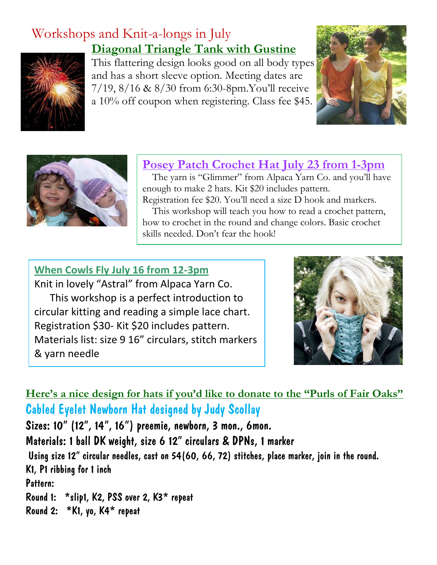# Workshops and Knit-a-longs in July **Diagonal Triangle Tank with Gustine**



This flattering design looks good on all body types and has a short sleeve option. Meeting dates are 7/19, 8/16 & 8/30 from 6:30-8pm.You'll receive a 10% off coupon when registering. Class fee \$45.





### **Posey Patch Crochet Hat July 23 from 1-3pm**

 The yarn is "Glimmer" from Alpaca Yarn Co. and you'll have enough to make 2 hats. Kit \$20 includes pattern. Registration fee \$20. You'll need a size D hook and markers.

 This workshop will teach you how to read a crochet pattern, how to crochet in the round and change colors. Basic crochet skills needed. Don't fear the hook!

#### **When Cowls Fly July 16 from 12-3pm**

Knit in lovely "Astral" from Alpaca Yarn Co. This workshop is a perfect introduction to circular kitting and reading a simple lace chart. Registration \$30- Kit \$20 includes pattern. Materials list: size 9 16" circulars, stitch markers & yarn needle



**Here's a nice design for hats if you'd like to donate to the "Purls of Fair Oaks"** Cabled Eyelet Newborn Hat designed by Judy Scollay

Sizes: 10" (12", 14", 16") preemie, newborn, 3 mon., 6mon. Materials: 1 ball DK weight, size 6 12" circulars & DPNs, 1 marker Using size 12" circular needles, cast on 54(60, 66, 72) stitches, place marker, join in the round. K1, P1 ribbing for 1 inch Pattern: Round 1: \*slip1, K2, PSS over 2, K3\* repeat Round 2: \*K1, yo, K4\* repeat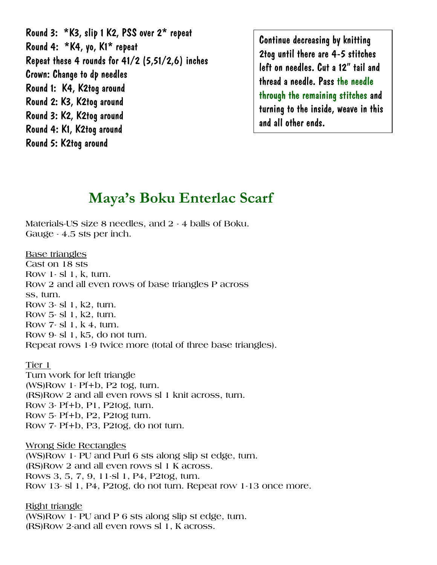Round 3: \*K3, slip 1 K2, PSS over 2\* repeat Round 4: \*K4, yo, K1\* repeat Repeat these 4 rounds for 41/2 (5,51/2,6) inches Crown: Change to dp needles Round 1: K4, K2tog around Round 2: K3, K2tog around Round 3: K2, K2tog around Round 4: K1, K2tog around Round 5: K2tog around

Continue decreasing by knitting 2tog until there are 4-5 stitches left on needles. Cut a 12" tail and thread a needle. Pass the needle through the remaining stitches and turning to the inside, weave in this and all other ends.

## **Maya's Boku Enterlac Scarf**

**Materials-US size 8 needles, and 2 - 4 balls of Boku. Gauge - 4.5 sts per inch.**

#### **Base triangles**

**Cast on 18 sts Row 1- sl 1, k, turn. Row 2 and all even rows of base triangles P across ss, turn. Row 3- sl 1, k2, turn. Row 5- sl 1, k2, turn. Row 7- sl 1, k 4, turn. Row 9- sl 1, k5, do not turn. Repeat rows 1-9 twice more (total of three base triangles).**

#### **Tier 1**

**Turn work for left triangle (WS)Row 1- Pf+b, P2 tog, turn. (RS)Row 2 and all even rows sl 1 knit across, turn. Row 3- Pf+b, P1, P2tog, turn. Row 5- Pf+b, P2, P2tog turn. Row 7- Pf+b, P3, P2tog, do not turn.**

**Wrong Side Rectangles**

**(WS)Row 1- PU and Purl 6 sts along slip st edge, turn. (RS)Row 2 and all even rows sl 1 K across. Rows 3, 5, 7, 9, 11-sl 1, P4, P2tog, turn. Row 13- sl 1, P4, P2tog, do not turn. Repeat row 1-13 once more.**

**Right triangle (WS)Row 1- PU and P 6 sts along slip st edge, turn. (RS)Row 2-and all even rows sl 1, K across.**